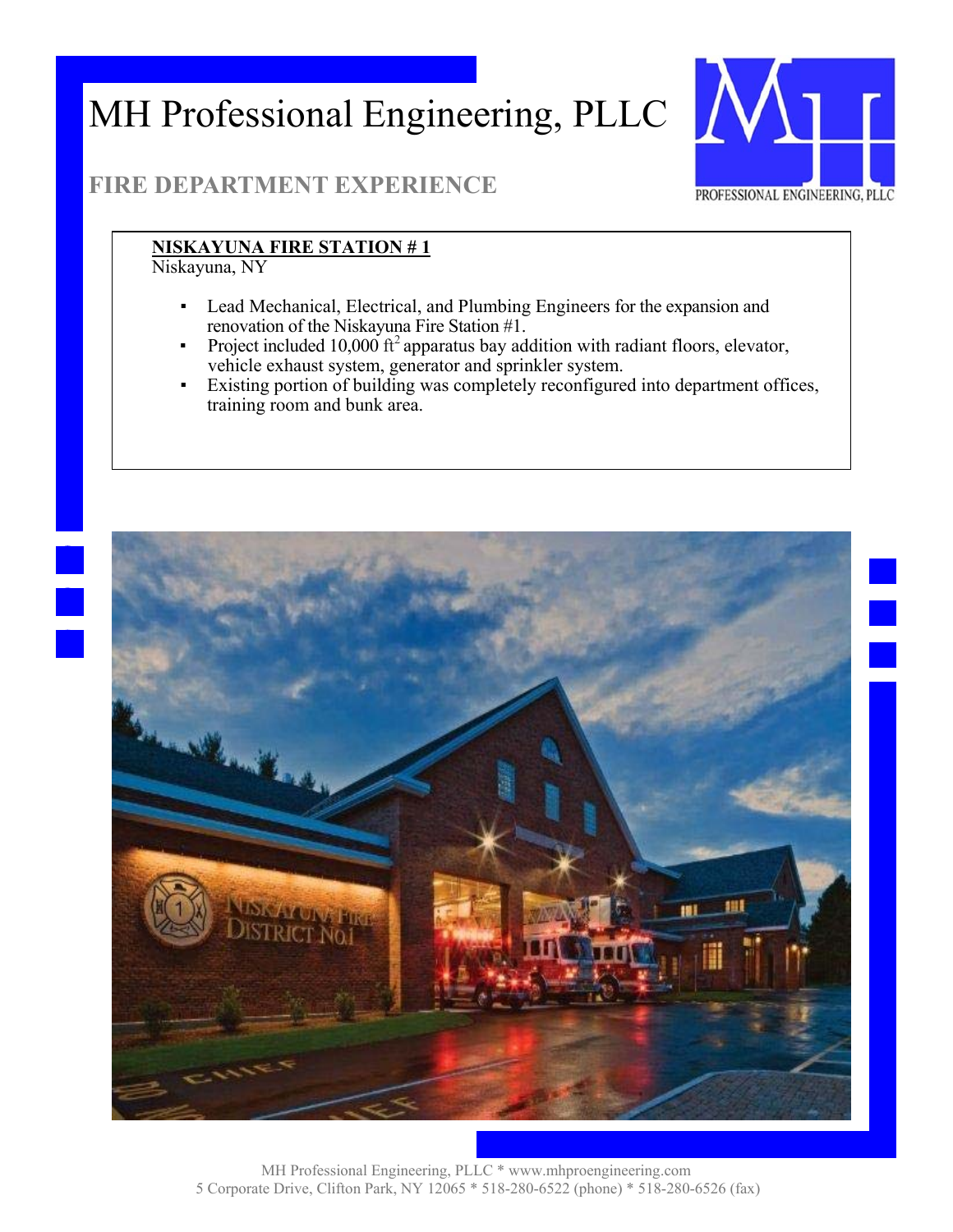

### **FIRE DEPARTMENT EXPERIENCE**

#### **NISKAYUNA FIRE STATION # 1**

Niskayuna, NY

- Lead Mechanical, Electrical, and Plumbing Engineers for the expansion and renovation of the Niskayuna Fire Station #1.
- Project included 10,000  $\hat{\tau}^2$  apparatus bay addition with radiant floors, elevator, vehicle exhaust system, generator and sprinkler system.
- Existing portion of building was completely reconfigured into department offices, training room and bunk area.

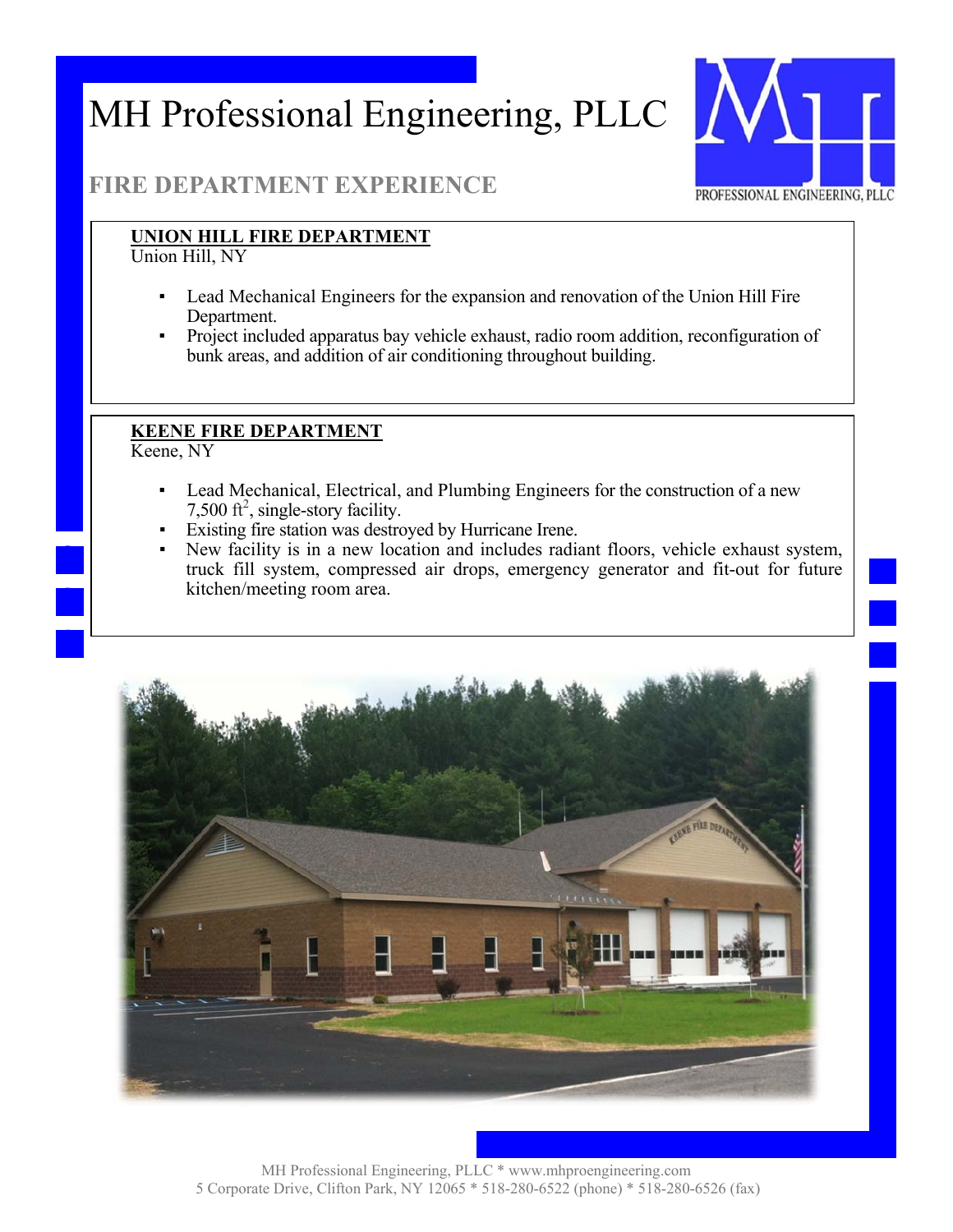

#### **FIRE DEPARTMENT EXPERIENCE**

#### **UNION HILL FIRE DEPARTMENT**

Union Hill, NY

- Lead Mechanical Engineers for the expansion and renovation of the Union Hill Fire Department.
- Project included apparatus bay vehicle exhaust, radio room addition, reconfiguration of bunk areas, and addition of air conditioning throughout building.

#### **KEENE FIRE DEPARTMENT**

Keene, NY

- Lead Mechanical, Electrical, and Plumbing Engineers for the construction of a new 7,500  $\text{ft}^2$ , single-story facility.
- Existing fire station was destroyed by Hurricane Irene.
- New facility is in a new location and includes radiant floors, vehicle exhaust system, truck fill system, compressed air drops, emergency generator and fit-out for future kitchen/meeting room area.

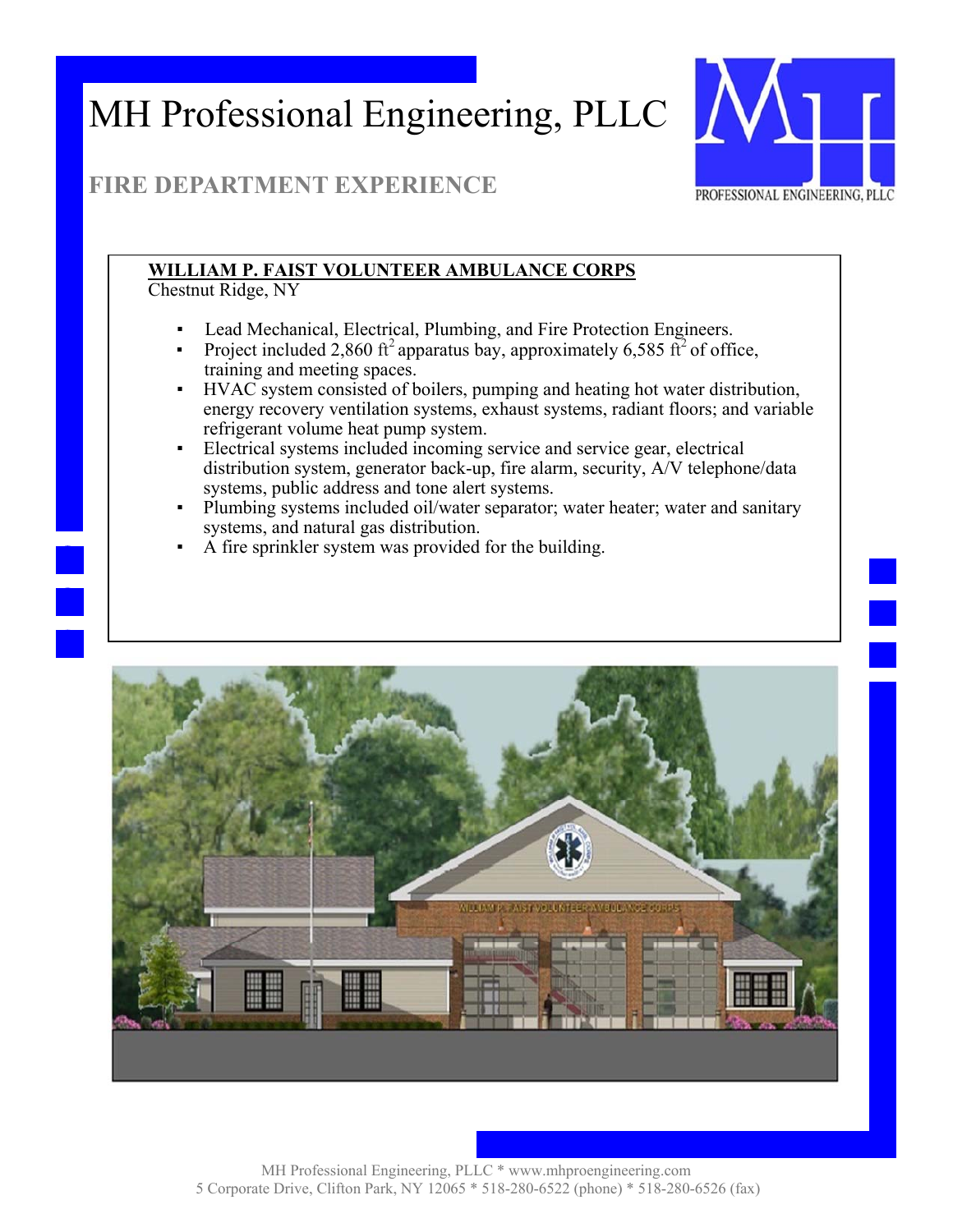

### **FIRE DEPARTMENT EXPERIENCE**

### **WILLIAM P. FAIST VOLUNTEER AMBULANCE CORPS**

Chestnut Ridge, NY

- Lead Mechanical, Electrical, Plumbing, and Fire Protection Engineers.
- Project included 2,860 ft<sup>2</sup> apparatus bay, approximately 6,585 ft<sup>2</sup> of office, training and meeting spaces.
- HVAC system consisted of boilers, pumping and heating hot water distribution, energy recovery ventilation systems, exhaust systems, radiant floors; and variable refrigerant volume heat pump system.
- Electrical systems included incoming service and service gear, electrical distribution system, generator back-up, fire alarm, security, A/V telephone/data systems, public address and tone alert systems.
- Plumbing systems included oil/water separator; water heater; water and sanitary systems, and natural gas distribution.
- A fire sprinkler system was provided for the building.

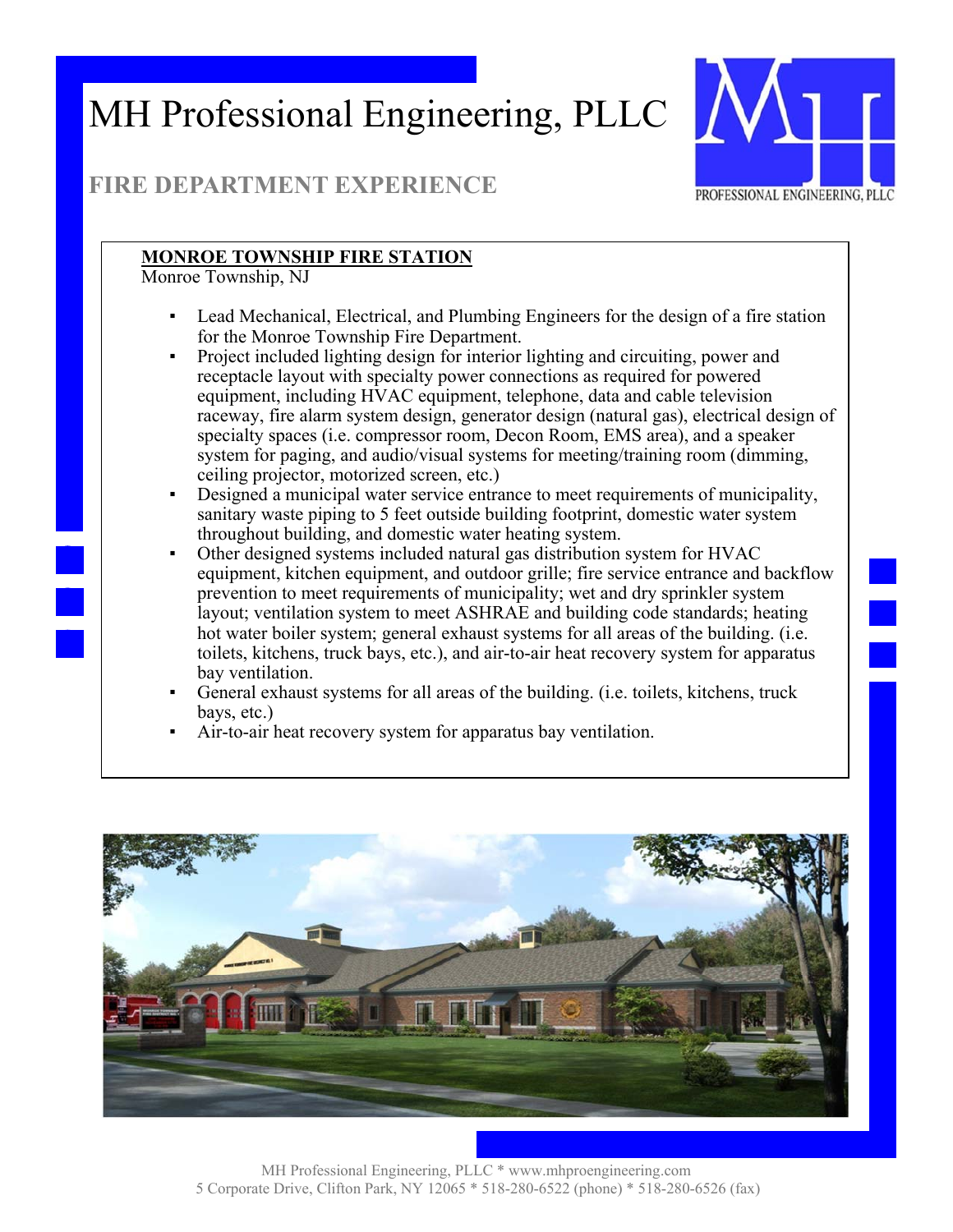

### **FIRE DEPARTMENT EXPERIENCE**

#### **MONROE TOWNSHIP FIRE STATION**

Monroe Township, NJ

- Lead Mechanical, Electrical, and Plumbing Engineers for the design of a fire station for the Monroe Township Fire Department.
- Project included lighting design for interior lighting and circuiting, power and receptacle layout with specialty power connections as required for powered equipment, including HVAC equipment, telephone, data and cable television raceway, fire alarm system design, generator design (natural gas), electrical design of specialty spaces (i.e. compressor room, Decon Room, EMS area), and a speaker system for paging, and audio/visual systems for meeting/training room (dimming, ceiling projector, motorized screen, etc.)
- Designed a municipal water service entrance to meet requirements of municipality, sanitary waste piping to 5 feet outside building footprint, domestic water system throughout building, and domestic water heating system.
- Other designed systems included natural gas distribution system for HVAC equipment, kitchen equipment, and outdoor grille; fire service entrance and backflow prevention to meet requirements of municipality; wet and dry sprinkler system layout; ventilation system to meet ASHRAE and building code standards; heating hot water boiler system; general exhaust systems for all areas of the building. (i.e. toilets, kitchens, truck bays, etc.), and air-to-air heat recovery system for apparatus bay ventilation.
- General exhaust systems for all areas of the building. (i.e. toilets, kitchens, truck bays, etc.)
- Air-to-air heat recovery system for apparatus bay ventilation.

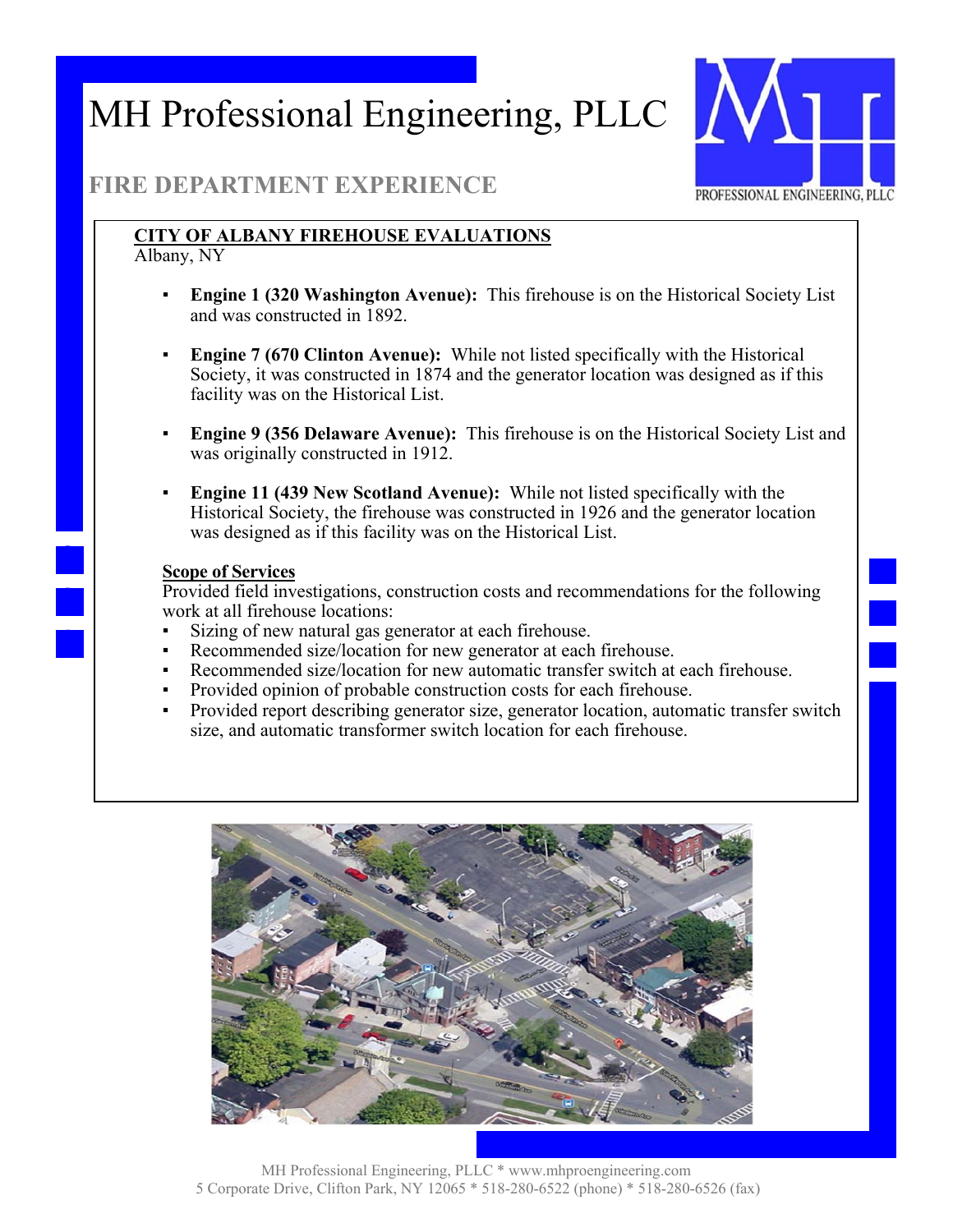

#### **FIRE DEPARTMENT EXPERIENCE**

### **CITY OF ALBANY FIREHOUSE EVALUATIONS**

Albany, NY

- **Engine 1 (320 Washington Avenue):** This firehouse is on the Historical Society List and was constructed in 1892.
- **Engine 7 (670 Clinton Avenue):** While not listed specifically with the Historical Society, it was constructed in 1874 and the generator location was designed as if this facility was on the Historical List.
- **Engine 9 (356 Delaware Avenue):** This firehouse is on the Historical Society List and was originally constructed in 1912.
- **Engine 11 (439 New Scotland Avenue):** While not listed specifically with the Historical Society, the firehouse was constructed in 1926 and the generator location was designed as if this facility was on the Historical List.

#### **Scope of Services**

Provided field investigations, construction costs and recommendations for the following work at all firehouse locations:

- Sizing of new natural gas generator at each firehouse.
- Recommended size/location for new generator at each firehouse.
- Recommended size/location for new automatic transfer switch at each firehouse.
- Provided opinion of probable construction costs for each firehouse.
- Provided report describing generator size, generator location, automatic transfer switch size, and automatic transformer switch location for each firehouse.

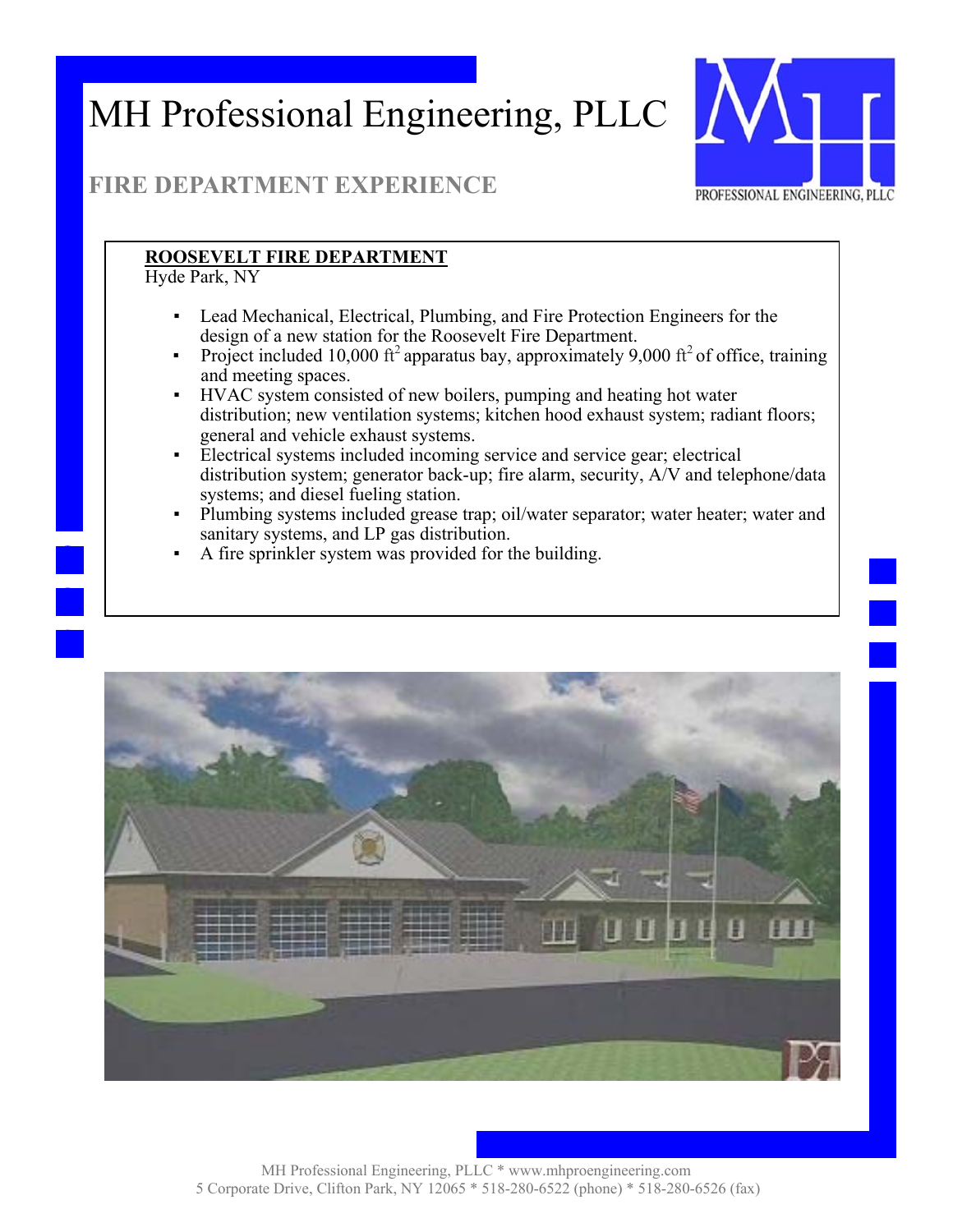

### **FIRE DEPARTMENT EXPERIENCE**

#### **ROOSEVELT FIRE DEPARTMENT**

Hyde Park, NY

- Lead Mechanical, Electrical, Plumbing, and Fire Protection Engineers for the design of a new station for the Roosevelt Fire Department.
- Project included 10,000 ft<sup>2</sup> apparatus bay, approximately 9,000 ft<sup>2</sup> of office, training and meeting spaces.
- HVAC system consisted of new boilers, pumping and heating hot water distribution; new ventilation systems; kitchen hood exhaust system; radiant floors; general and vehicle exhaust systems.
- Electrical systems included incoming service and service gear; electrical distribution system; generator back-up; fire alarm, security, A/V and telephone/data systems; and diesel fueling station.
- Plumbing systems included grease trap; oil/water separator; water heater; water and sanitary systems, and LP gas distribution.
- A fire sprinkler system was provided for the building.

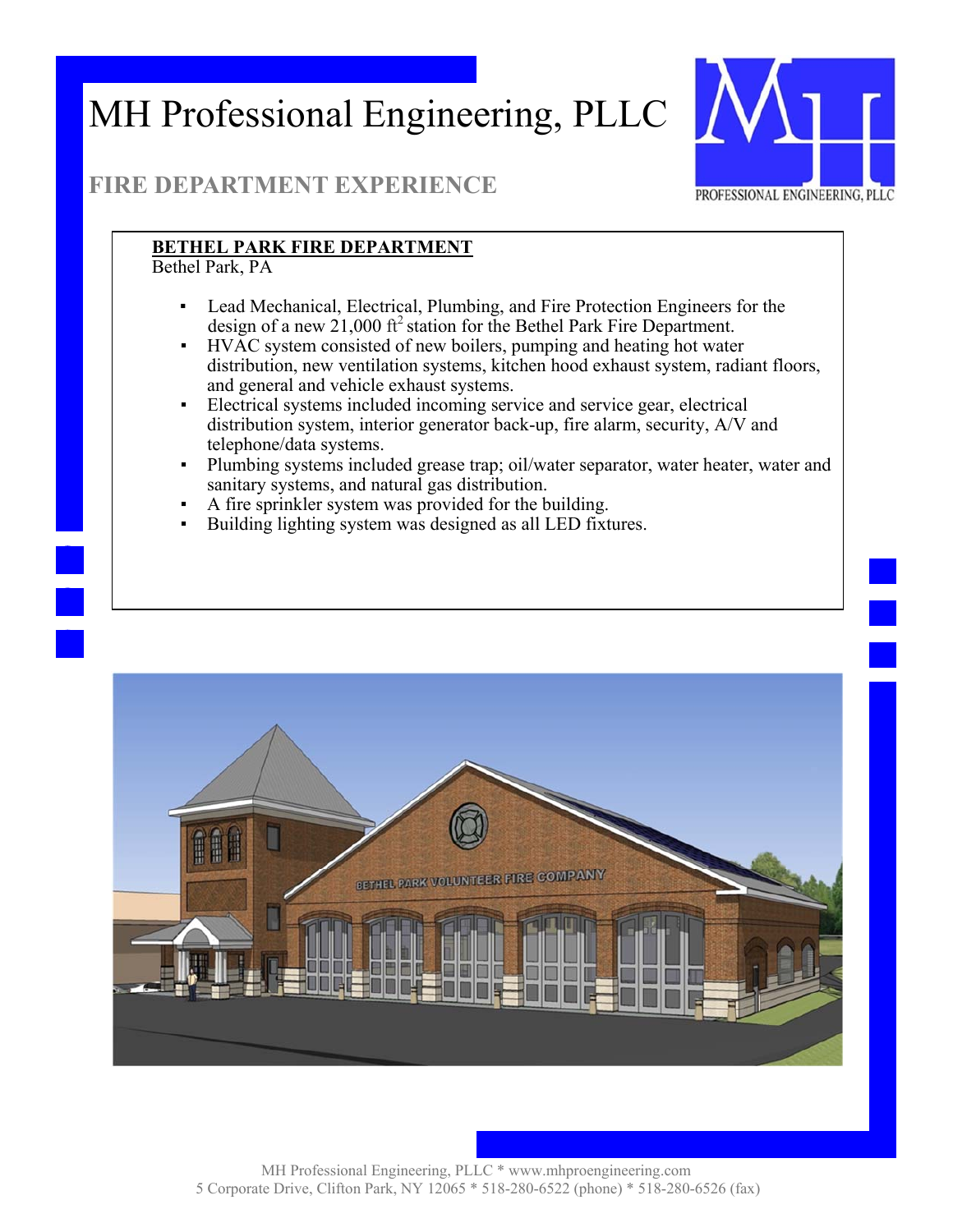

### **FIRE DEPARTMENT EXPERIENCE**

#### **BETHEL PARK FIRE DEPARTMENT**

Bethel Park, PA

- Lead Mechanical, Electrical, Plumbing, and Fire Protection Engineers for the design of a new 21,000  $\text{ft}^2$  station for the Bethel Park Fire Department.
- HVAC system consisted of new boilers, pumping and heating hot water distribution, new ventilation systems, kitchen hood exhaust system, radiant floors, and general and vehicle exhaust systems.
- Electrical systems included incoming service and service gear, electrical distribution system, interior generator back-up, fire alarm, security, A/V and telephone/data systems.
- Plumbing systems included grease trap; oil/water separator, water heater, water and sanitary systems, and natural gas distribution.
- A fire sprinkler system was provided for the building.
- Building lighting system was designed as all LED fixtures.